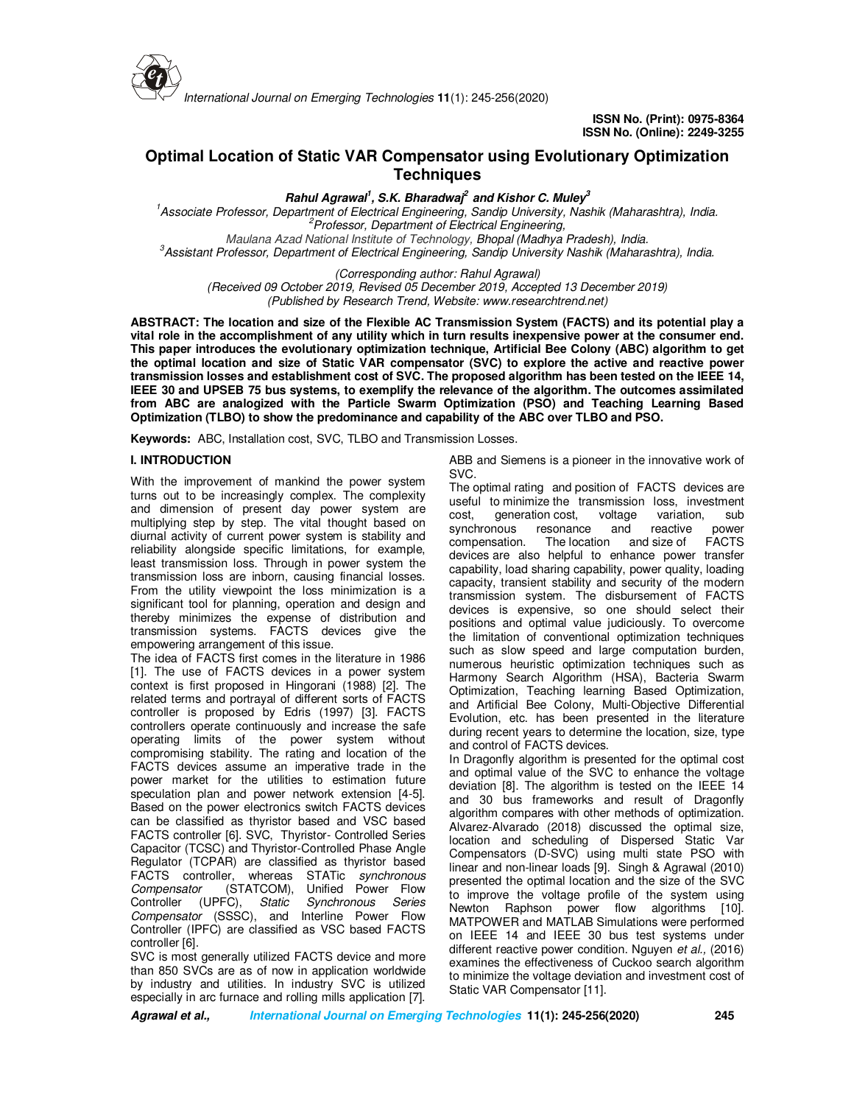

*International Journal on Emerging Technologies* **11**(1): 245-256(2020)

# **Optimal Location of Static VAR Compensator using Evolutionary Optimization Techniques**

**Rahul Agrawal<sup>1</sup> , S.K. Bharadwaj<sup>2</sup>and Kishor C. Muley<sup>3</sup>**

*1 Associate Professor, Department of Electrical Engineering, Sandip University, Nashik (Maharashtra), India. 2 Professor, Department of Electrical Engineering, Maulana Azad National Institute of Technology, Bhopal (Madhya Pradesh), India.*

*3 Assistant Professor, Department of Electrical Engineering, Sandip University Nashik (Maharashtra), India.*

*(Corresponding author: Rahul Agrawal)*

*(Received 09 October 2019, Revised 05 December 2019, Accepted 13 December 2019) (Published by Research Trend, Website: www.researchtrend.net)*

**ABSTRACT: The location and size of the Flexible AC Transmission System (FACTS) and its potential play a vital role in the accomplishment of any utility which in turn results inexpensive power at the consumer end. This paper introduces the evolutionary optimization technique, Artificial Bee Colony (ABC) algorithm to get the optimal location and size of Static VAR compensator (SVC) to explore the active and reactive power transmission losses and establishment cost of SVC. The proposed algorithm has been tested on the IEEE 14, IEEE 30 and UPSEB 75 bus systems, to exemplify the relevance of the algorithm. The outcomes assimilated from ABC are analogized with the Particle Swarm Optimization (PSO) and Teaching Learning Based Optimization (TLBO) to show the predominance and capability of the ABC over TLBO and PSO.** 

**Keywords:** ABC, Installation cost, SVC, TLBO and Transmission Losses.

### **I. INTRODUCTION**

With the improvement of mankind the power system turns out to be increasingly complex. The complexity and dimension of present day power system are multiplying step by step. The vital thought based on diurnal activity of current power system is stability and reliability alongside specific limitations, for example, least transmission loss. Through in power system the transmission loss are inborn, causing financial losses. From the utility viewpoint the loss minimization is a significant tool for planning, operation and design and thereby minimizes the expense of distribution and transmission systems. FACTS devices give the empowering arrangement of this issue.

The idea of FACTS first comes in the literature in 1986 [1]. The use of FACTS devices in a power system context is first proposed in Hingorani (1988) [2]. The related terms and portrayal of different sorts of FACTS controller is proposed by Edris (1997) [3]. FACTS controllers operate continuously and increase the safe operating limits of the power system without compromising stability. The rating and location of the FACTS devices assume an imperative trade in the power market for the utilities to estimation future speculation plan and power network extension [4-5]. Based on the power electronics switch FACTS devices can be classified as thyristor based and VSC based FACTS controller [6]. SVC, Thyristor- Controlled Series Capacitor (TCSC) and Thyristor-Controlled Phase Angle Regulator (TCPAR) are classified as thyristor based FACTS controller, whereas STATic *synchronous Compensator* (STATCOM), Unified Power Flow Controller (UPFC), *Static Synchronous Series Compensator* (SSSC), and Interline Power Flow Controller (IPFC) are classified as VSC based FACTS controller [6].

SVC is most generally utilized FACTS device and more than 850 SVCs are as of now in application worldwide by industry and utilities. In industry SVC is utilized especially in arc furnace and rolling mills application [7]. ABB and Siemens is a pioneer in the innovative work of SVC.

The optimal rating and position of FACTS devices are useful to minimize the transmission loss, investment cost, generation cost, voltage variation, sub synchronous resonance and reactive power compensation. The location and size of FACTS devices are also helpful to enhance power transfer capability, load sharing capability, power quality, loading capacity, transient stability and security of the modern transmission system. The disbursement of FACTS devices is expensive, so one should select their positions and optimal value judiciously. To overcome the limitation of conventional optimization techniques such as slow speed and large computation burden, numerous heuristic optimization techniques such as Harmony Search Algorithm (HSA), Bacteria Swarm Optimization, Teaching learning Based Optimization, and Artificial Bee Colony, Multi-Objective Differential Evolution, etc. has been presented in the literature during recent years to determine the location, size, type and control of FACTS devices.

In Dragonfly algorithm is presented for the optimal cost and optimal value of the SVC to enhance the voltage deviation [8]. The algorithm is tested on the IEEE 14 and 30 bus frameworks and result of Dragonfly algorithm compares with other methods of optimization. Alvarez-Alvarado (2018) discussed the optimal size, location and scheduling of Dispersed Static Var Compensators (D-SVC) using multi state PSO with linear and non-linear loads [9]. Singh & Agrawal (2010) presented the optimal location and the size of the SVC to improve the voltage profile of the system using Newton Raphson power flow algorithms [10]. MATPOWER and MATLAB Simulations were performed on IEEE 14 and IEEE 30 bus test systems under different reactive power condition. Nguyen *et al.,* (2016) examines the effectiveness of Cuckoo search algorithm to minimize the voltage deviation and investment cost of Static VAR Compensator [11].

**Agrawal et al., International Journal on Emerging Technologies 11(1): 245-256(2020) 245**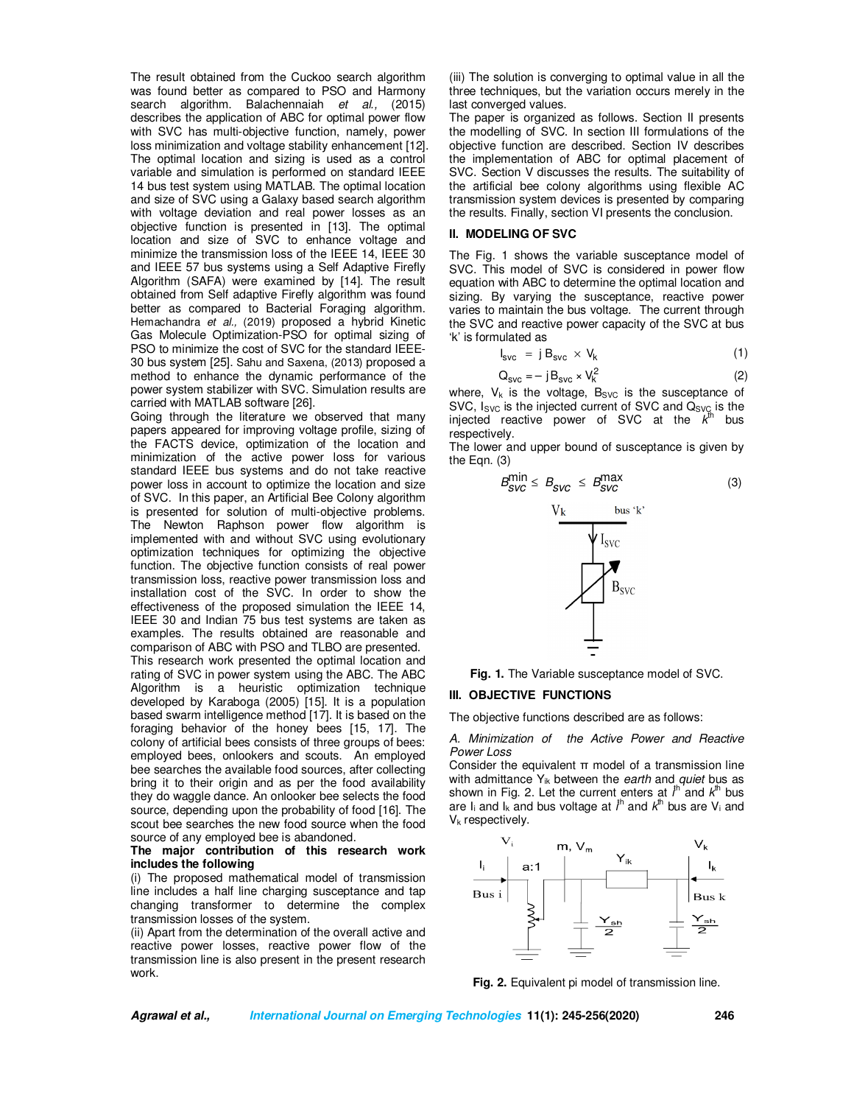The result obtained from the Cuckoo search algorithm was found better as compared to PSO and Harmony search algorithm. Balachennaiah *et al.,* (2015) describes the application of ABC for optimal power flow with SVC has multi-objective function, namely, power loss minimization and voltage stability enhancement [12]. The optimal location and sizing is used as a control variable and simulation is performed on standard IEEE 14 bus test system using MATLAB. The optimal location and size of SVC using a Galaxy based search algorithm with voltage deviation and real power losses as an objective function is presented in [13]. The optimal location and size of SVC to enhance voltage and minimize the transmission loss of the IEEE 14, IEEE 30 and IEEE 57 bus systems using a Self Adaptive Firefly Algorithm (SAFA) were examined by [14]. The result obtained from Self adaptive Firefly algorithm was found better as compared to Bacterial Foraging algorithm. Hemachandra *et al.,* (2019) proposed a hybrid Kinetic Gas Molecule Optimization-PSO for optimal sizing of PSO to minimize the cost of SVC for the standard IEEE-30 bus system [25]. Sahu and Saxena, (2013) proposed a method to enhance the dynamic performance of the power system stabilizer with SVC. Simulation results are carried with MATLAB software [26].

Going through the literature we observed that many papers appeared for improving voltage profile, sizing of the FACTS device, optimization of the location and minimization of the active power loss for various standard IEEE bus systems and do not take reactive power loss in account to optimize the location and size of SVC. In this paper, an Artificial Bee Colony algorithm is presented for solution of multi-objective problems. The Newton Raphson power flow algorithm is implemented with and without SVC using evolutionary optimization techniques for optimizing the objective function. The objective function consists of real power transmission loss, reactive power transmission loss and installation cost of the SVC. In order to show the effectiveness of the proposed simulation the IEEE 14, IEEE 30 and Indian 75 bus test systems are taken as examples. The results obtained are reasonable and comparison of ABC with PSO and TLBO are presented.

This research work presented the optimal location and rating of SVC in power system using the ABC. The ABC Algorithm is a heuristic optimization technique developed by Karaboga (2005) [15]. It is a population based swarm intelligence method [17]. It is based on the foraging behavior of the honey bees [15, 17]. The colony of artificial bees consists of three groups of bees: employed bees, onlookers and scouts. An employed bee searches the available food sources, after collecting bring it to their origin and as per the food availability they do waggle dance. An onlooker bee selects the food source, depending upon the probability of food [16]. The scout bee searches the new food source when the food source of any employed bee is abandoned.

#### **The major contribution of this research work includes the following**

(i) The proposed mathematical model of transmission line includes a half line charging susceptance and tap changing transformer to determine the complex transmission losses of the system.

(ii) Apart from the determination of the overall active and reactive power losses, reactive power flow of the transmission line is also present in the present research work.

(iii) The solution is converging to optimal value in all the three techniques, but the variation occurs merely in the last converged values.

The paper is organized as follows. Section II presents the modelling of SVC. In section III formulations of the objective function are described. Section IV describes the implementation of ABC for optimal placement of SVC. Section V discusses the results. The suitability of the artificial bee colony algorithms using flexible AC transmission system devices is presented by comparing the results. Finally, section VI presents the conclusion.

# **II. MODELING OF SVC**

The Fig. 1 shows the variable susceptance model of SVC. This model of SVC is considered in power flow equation with ABC to determine the optimal location and sizing. By varying the susceptance, reactive power varies to maintain the bus voltage. The current through the SVC and reactive power capacity of the SVC at bus 'k' is formulated as

$$
I_{\text{SVC}} = j B_{\text{SVC}} \times V_k \tag{1}
$$

$$
Q_{\text{SVC}} = -j B_{\text{SVC}} \times V_k^2 \tag{2}
$$

 $Q_{\text{SVC}} = -j B_{\text{SVC}} \times V_K$  is the voltage, B<sub>SVC</sub> is the susceptance of SVC, Isvc is the injected current of SVC and Q<sub>SVC</sub> is the injected reactive power of SVC at the *k* hus respectively.

The lower and upper bound of susceptance is given by the Eqn. (3)



**Fig. 1.** The Variable susceptance model of SVC.

#### **III. OBJECTIVE FUNCTIONS**

The objective functions described are as follows:

*A. Minimization of the Active Power and Reactive Power Loss* 

Consider the equivalent  $\pi$  model of a transmission line with admittance Yik between the *earth* and *quiet* bus as shown in Fig. 2. Let the current enters at  $i^{\text{th}}$  and  $k^{\text{th}}$  bus are  $I_i$  and  $I_k$  and bus voltage at  $i^h$  and  $k^h$  bus are  $V_i$  and  $V_k$  respectively.



**Fig. 2.** Equivalent pi model of transmission line.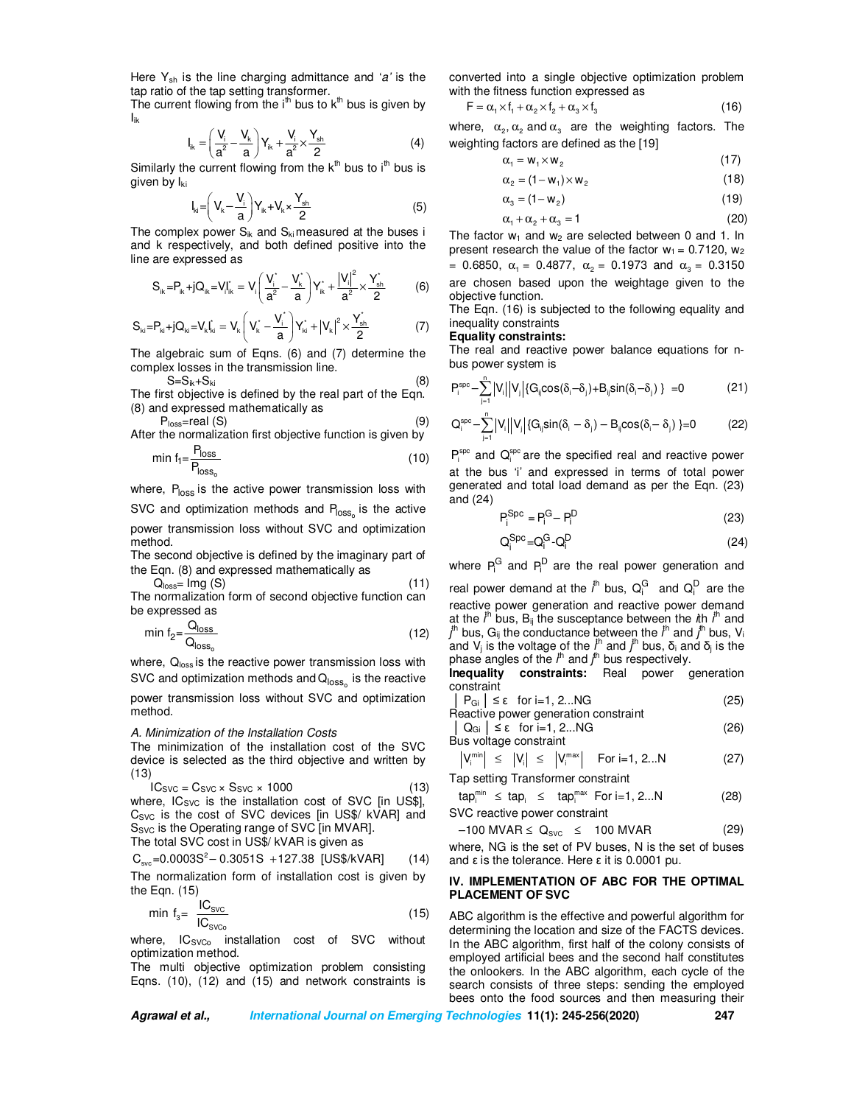Here Ysh is the line charging admittance and '*a'* is the tap ratio of the tap setting transformer.

The current flowing from the  $i<sup>th</sup>$  bus to  $k<sup>th</sup>$  bus is given by Iik

$$
I_{ik}=\left(\frac{V_i}{a^2}-\frac{V_k}{a}\right)Y_{ik}+\frac{V_i}{a^2}\times\frac{Y_{sh}}{2}\hspace{1.5cm}(4)
$$

Similarly the current flowing from the k<sup>th</sup> bus to i<sup>th</sup> bus is given by l<sub>ki</sub>

$$
I_{ki} = \left(V_k - \frac{V_i}{a}\right) Y_{ik} + V_k \times \frac{Y_{sh}}{2}
$$
 (5)

The complex power  $S_{ik}$  and  $S_{ki}$  measured at the buses i and k respectively, and both defined positive into the line are expressed as

$$
S_{ik} \! = \! P_{ik} \! + \! j Q_{ik} \! = \! V_{i} \! \! \left( \frac{V_{i}^{*}}{a^{2}} \! - \! \frac{V_{k}^{*}}{a} \right) \! Y_{ik}^{*} \! + \! \frac{\left| V_{i} \right|^{2}}{a^{2}} \! \times \! \frac{Y_{sh}^{*}}{2} \qquad \quad \ \ \left( 6 \right)
$$

$$
S_{ki} = P_{ki} + jQ_{ki} = V_kI_{ki}^* = V_k \left(V_k^* - \frac{V_i^*}{a}\right)Y_{ki}^* + |V_k|^2 \times \frac{Y_{sh}^*}{2} \qquad \qquad (7)
$$

The algebraic sum of Eqns. (6) and (7) determine the complex losses in the transmission line.

 $S=S_{ik}+S_{ki}$  (8)

The first objective is defined by the real part of the Eqn. (8) and expressed mathematically as

$$
P_{loss} = real (S)
$$
\nAfter the normalization first objective function is given by

$$
\min f_1 = \frac{P_{\text{loss}}}{P_{\text{loss}_o}}\tag{10}
$$

where, P<sub>loss</sub> is the active power transmission loss with

SVC and optimization methods and P<sub>loss<sub>o</sub> is the active</sub>

power transmission loss without SVC and optimization method.

The second objective is defined by the imaginary part of the Eqn. (8) and expressed mathematically as

$$
Qloss =  $Img(S)$  (11)
$$
  
The normalization form of second choice function can

The normalization form of second objective function can be expressed as

$$
\min f_2 = \frac{Q_{\text{loss}}}{Q_{\text{loss}_o}}\tag{12}
$$

 $\mathbb{R}^3$ loss,  $\mathbb{Q}_{\text{loss}}$  is the reactive power transmission loss with SVC and optimization methods and  $\mathsf{Q}_{\mathsf{loss}_\mathrm{o}}$  is the reactive

power transmission loss without SVC and optimization method.

#### *A. Minimization of the Installation Costs*

The minimization of the installation cost of the SVC device is selected as the third objective and written by (13)

$$
IC_{SVC} = C_{SVC} \times S_{SVC} \times 1000
$$
 (13)

where,  $IC_{SVC}$  is the installation cost of SVC [in US\$], C<sub>SVC</sub> is the cost of SVC devices [in US\$/ kVAR] and S<sub>SVC</sub> is the Operating range of SVC [in MVAR].

The total SVC cost in US\$/ kVAR is given as

$$
C_{\rm{src}} = 0.0003S^2 - 0.3051S + 127.38 \text{ [US$/kVAR]} \qquad (14)
$$

The normalization form of installation cost is given by the Eqn. (15)

$$
\min f_3 = \frac{IC_{\text{SVC}}}{IC_{\text{SVC}_0}} \tag{15}
$$

where, IC<sub>SVCo</sub> installation cost of SVC without optimization method.

The multi objective optimization problem consisting Eqns. (10), (12) and (15) and network constraints is converted into a single objective optimization problem with the fitness function expressed as

$$
\mathsf{F} = \alpha_1 \times \mathsf{f}_1 + \alpha_2 \times \mathsf{f}_2 + \alpha_3 \times \mathsf{f}_3 \tag{16}
$$

where,  $\alpha_2, \alpha_2$  and  $\alpha_3$  are the weighting factors. The weighting factors are defined as the [19]

$$
\alpha_1 = w_1 \times w_2 \tag{17}
$$

$$
\alpha_2 = (1 - w_1) \times w_2 \tag{18}
$$

$$
\alpha_3 = (1 - w_2) \tag{19}
$$

$$
\alpha_1 + \alpha_2 + \alpha_3 = 1 \tag{20}
$$

 $\alpha_1 + \alpha_2 + \alpha_3 = 1$ <br>The factor w<sub>1</sub> and w<sub>2</sub> are selected between 0 and 1. In present research the value of the factor  $w_1 = 0.7120$ ,  $w_2$ = 0.6850,  $\alpha_1$  = 0.4877,  $\alpha_2$  = 0.1973 and  $\alpha_3$  = 0.3150 are chosen based upon the weightage given to the objective function.

The Eqn. (16) is subjected to the following equality and inequality constraints

### **Equality constraints:**

The real and reactive power balance equations for nbus power system is

$$
P_i^{spc} - \sum_{j=1}^n \left| V_i \right| \left| V_j \right| \left\{ G_{ij} cos(\delta_i - \delta_j) + B_{ij} sin(\delta_i - \delta_j) \right\} = 0 \tag{21}
$$

$$
Q_i^{\textrm{spc}}\!-\!\sum\limits_{j=1}^{n}\!\left|V_{i}\right|\!\left|V_{j}\right|\!\left\{G_{ij}\textrm{sin}(\delta_{i}-\delta_{j})-B_{ij}\textrm{cos}(\delta_{i}\!-\delta_{j})\left.\right\}\!=\!0\qquad \quad \ \ (22)
$$

 $P_i^{\text{spc}}$  and  $Q_i^{\text{spc}}$  are the specified real and reactive power at the bus 'i' and expressed in terms of total power generated and total load demand as per the Eqn. (23) and (24)

$$
P_i^{Spc} = P_i^G - P_i^D \tag{23}
$$

$$
Q_i^{Spc} = Q_i^G \cdot Q_i^D \tag{24}
$$

where  $P_i^G$  and  $P_i^D$  are the real power generation and

real power demand at the  $i^{\text{th}}$  bus,  $\mathsf{Q}^{\text{G}}_{i}$  and  $\mathsf{Q}^{\text{D}}_{i}$  are the reactive power generation and reactive power demand at the  $i^{\text{th}}$  bus,  $B_{ij}$  the susceptance between the *i*th  $i^{\text{th}}$  and *j*<sup>th</sup> bus, G<sub>ij</sub> the conductance between the *i*<sup>th</sup> and *j*<sup>th</sup> bus, V<sub>i</sub> and V<sub>j</sub> is the voltage of the  $i^{\text{th}}$  and  $j^{\text{th}}$  bus,  $\delta_i$  and  $\delta_j$  is the phase angles of the *i*<sup>th</sup> and *j*<sup>th</sup> bus respectively.

**Inequality constraints:** Real power generation constraint

$$
|P_{Gi}| \le \epsilon \text{ for } i=1, 2...NG
$$
 (25)

$$
|\nQ_{Gi}| \leq \epsilon \quad \text{for } i = 1, 2...NG
$$
 (26)

Bus voltage constraint

$$
\left|V_i^{\min}\right| \leq \left|V_i\right| \leq \left|V_i^{\max}\right| \text{ For } i=1, 2...N \tag{27}
$$

Tap setting Transformer constraint

$$
\tan_i^{\min} \leq \tan_i \leq \tan_i^{\max} \text{ For } i=1, 2...N
$$
 (28)  
SVC reactive power constraint

$$
-100 \text{ MVAR} \leq Q_{\text{SVC}} \leq 100 \text{MVAR} \tag{29}
$$

where, NG is the set of PV buses, N is the set of buses and  $ε$  is the tolerance. Here  $ε$  it is 0.0001 pu.

### **IV. IMPLEMENTATION OF ABC FOR THE OPTIMAL PLACEMENT OF SVC**

ABC algorithm is the effective and powerful algorithm for determining the location and size of the FACTS devices. In the ABC algorithm, first half of the colony consists of employed artificial bees and the second half constitutes the onlookers. In the ABC algorithm, each cycle of the search consists of three steps: sending the employed bees onto the food sources and then measuring their

**Agrawal et al., International Journal on Emerging Technologies 11(1): 245-256(2020) 247**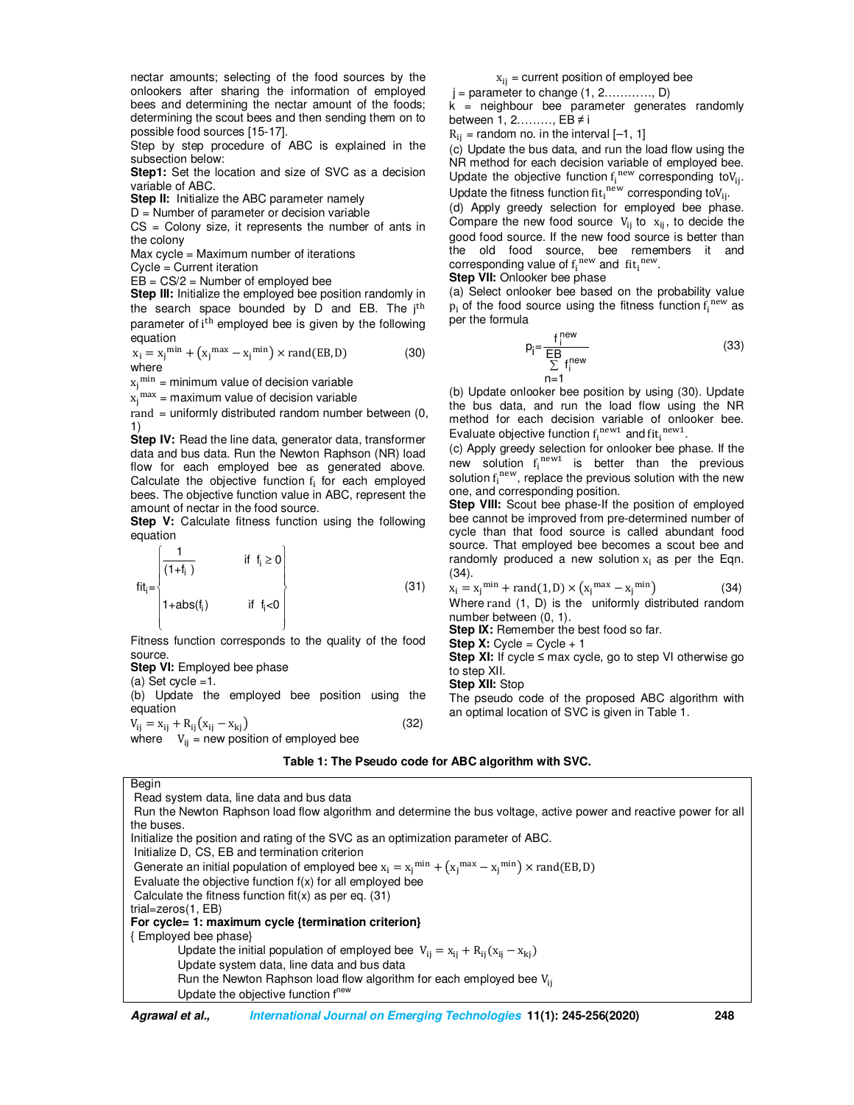nectar amounts; selecting of the food sources by the onlookers after sharing the information of employed bees and determining the nectar amount of the foods; determining the scout bees and then sending them on to possible food sources [15-17].

Step by step procedure of ABC is explained in the subsection below:

**Step1:** Set the location and size of SVC as a decision variable of ABC.

**Step II:** Initialize the ABC parameter namely

 $D =$  Number of parameter or decision variable

 $CS =$  Colony size, it represents the number of ants in the colony

Max cycle = Maximum number of iterations

Cycle = Current iteration

 $EB = CS/2 =$  Number of employed bee

**Step III:** Initialize the employed bee position randomly in the search space bounded by D and EB. The  $j^{\text{th}}$ parameter of i<sup>th</sup> employed bee is given by the following equation

$$
x_i = x_j^{\min} + (x_j^{\max} - x_j^{\min}) \times \text{rand}(EB, D) \tag{30}
$$
  
where

 $x_j^{\min}$  = minimum value of decision variable

 $x_j^{\text{max}}$  = maximum value of decision variable

rand = uniformly distributed random number between (0, 1)

**Step IV:** Read the line data, generator data, transformer data and bus data. Run the Newton Raphson (NR) load flow for each employed bee as generated above. Calculate the objective function  $f_i$  for each employed bees. The objective function value in ABC, represent the amount of nectar in the food source.

**Step V:** Calculate fitness function using the following equation

$$
fit_{i} = \begin{cases} \frac{1}{(1+f_{i})} & \text{if } f_{i} \ge 0\\ 1 + abs(f_{i}) & \text{if } f_{i} < 0 \end{cases}
$$
(31)

Fitness function corresponds to the quality of the food source.

**Step VI:** Employed bee phase

(a) Set  $cycle = 1$ .

(b) Update the employed bee position using the equation

$$
V_{ij} = x_{ij} + R_{ij}(x_{ij} - x_{kj})
$$
 (32)

where  $V_{ij}$  = new position of employed bee

 $x<sub>ii</sub>$  = current position of employed bee

 $j =$  parameter to change  $(1, 2, \ldots, I)$ 

 $k =$  neighbour bee parameter generates randomly between 1, 2………, EB ≠ i

 $R_{ii}$  = random no. in the interval  $[-1, 1]$ 

(c) Update the bus data, and run the load flow using the NR method for each decision variable of employed bee. Update the objective function  $f_i^{new}$  corresponding to  $V_{ij}$ . Update the fitness function fit<sub>i</sub><sup>new</sup> corresponding to  $V_{ij}$ .

(d) Apply greedy selection for employed bee phase. Compare the new food source  $V_{ij}$  to  $x_{ij}$ , to decide the good food source. If the new food source is better than the old food source, bee remembers it and corresponding value of  $f_i^{new}$  and  $f_i^{new}$ .

**Step VII:** Onlooker bee phase

(a) Select onlooker bee based on the probability value  $p_i$  of the food source using the fitness function  $f_i^{new}$  as per the formula

$$
p_i = \frac{f_i^{new}}{\sum_{i=1}^{EB} f_i^{new}}
$$
 (33)

n=1<br>(b) Update onlooker bee position by using (30). Update the bus data, and run the load flow using the NR method for each decision variable of onlooker bee. Evaluate objective function  $f_i^{new1}$  and  $fit_i^{new1}$ .

(c) Apply greedy selection for onlooker bee phase. If the new solution  $f_i^{new1}$  is better than the previous solution  $f_i^{new}$ , replace the previous solution with the new one, and corresponding position.

**Step VIII:** Scout bee phase-If the position of employed bee cannot be improved from pre-determined number of cycle than that food source is called abundant food source. That employed bee becomes a scout bee and randomly produced a new solution  $x_i$  as per the Eqn. (34).

$$
x_i = x_j^{\min} + \text{rand}(1, D) \times (x_j^{\max} - x_j^{\min}) \tag{34}
$$

Where rand (1, D) is the uniformly distributed random number between (0, 1).

**Step IX:** Remember the best food so far.

**Step X:** Cycle = Cycle  $+1$ 

**Step XI:** If cycle ≤ max cycle, go to step VI otherwise go to step XII.

**Step XII:** Stop

The pseudo code of the proposed ABC algorithm with an optimal location of SVC is given in Table 1.

#### **Table 1: The Pseudo code for ABC algorithm with SVC.**

Begin

 Read system data, line data and bus data Run the Newton Raphson load flow algorithm and determine the bus voltage, active power and reactive power for all the buses.

Initialize the position and rating of the SVC as an optimization parameter of ABC.

Initialize D, CS, EB and termination criterion

Generate an initial population of employed bee  $x_i = x_j^{min} + (x_j^{max} - x_j^{min}) \times rand(EB, D)$ 

Evaluate the objective function f(x) for all employed bee

Calculate the fitness function fit(x) as per eq.  $(31)$ 

trial=zeros(1, EB)

**For cycle= 1: maximum cycle {termination criterion}**

{ Employed bee phase}

Update the initial population of employed bee  $V_{ij} = x_{ij} + R_{ij}(x_{ij} - x_{kj})$ Update system data, line data and bus data

Run the Newton Raphson load flow algorithm for each employed bee V<sub>ii</sub> Update the objective function f<sup>new</sup>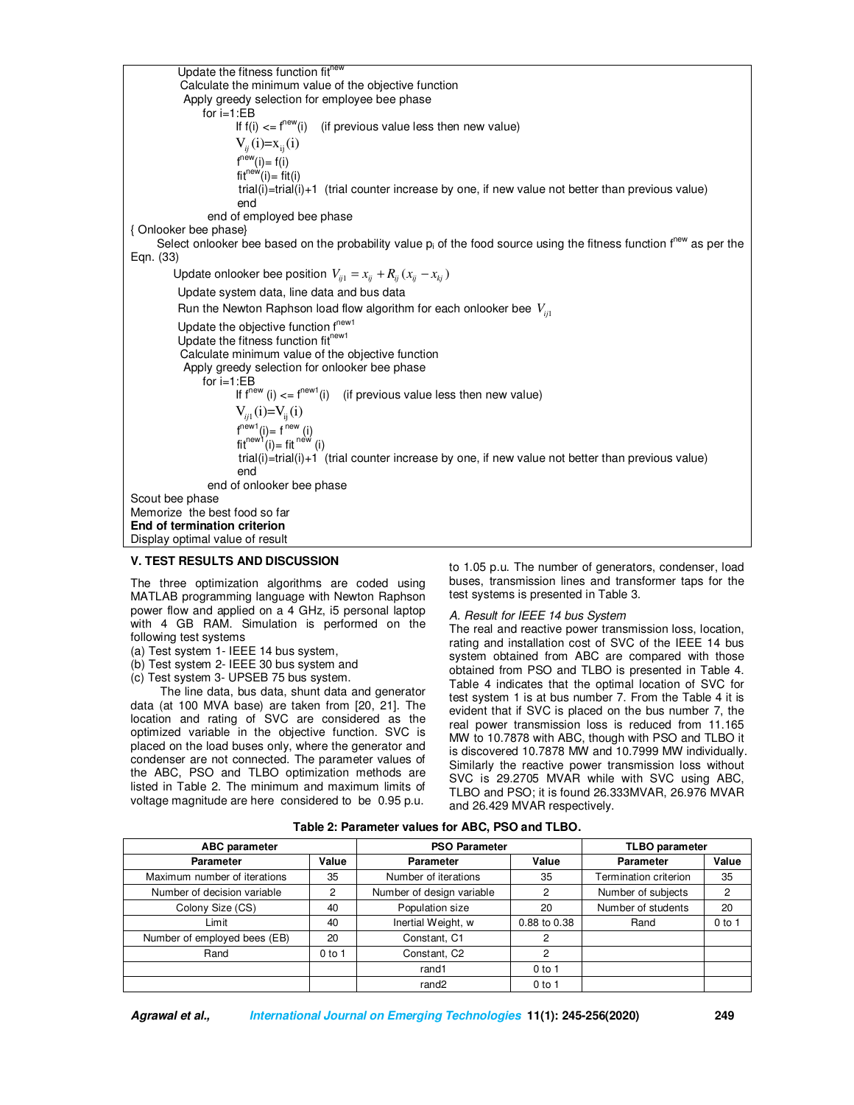Update the fitness function  $fit'$  Calculate the minimum value of the objective function Apply greedy selection for employee bee phase for i=1:EB If  $f(i) \leq f^{new}(i)$  (if previous value less then new value)  $V_{ii}(i)=X_{ii}(i)$  $f^{new}(i) = f(i)$  $fit^{new}(i) = \dot{fit}(i)$  trial(i)=trial(i)+1 (trial counter increase by one, if new value not better than previous value) end end of employed bee phase { Onlooker bee phase} Select onlooker bee based on the probability value  $p_i$  of the food source using the fitness function f<sup>new</sup> as per the Eqn. (33) Update onlooker bee position  $V_{ij1} = x_{ij} + R_{ij} (x_{ij} - x_{kj})$ Update system data, line data and bus data Run the Newton Raphson load flow algorithm for each onlooker bee  $V_{in}$ Update the objective function f<sup>new1</sup> Update the fitness function fit<sup>new1</sup> Calculate minimum value of the objective function Apply greedy selection for onlooker bee phase for i=1:EB If  $f^{new}(i) \leq f^{new1}(i)$  (if previous value less then new value)  $V_{ii1}(i)=V_{ii}(i)$  $f^{new1}(i) = f^{new}(i)$  $fit^{new1}(i) = fit^{new}$  (i) trial(i)=trial(i)+1 (trial counter increase by one, if new value not better than previous value) end end of onlooker bee phase Scout bee phase Memorize the best food so far **End of termination criterion**  Display optimal value of result

# **V. TEST RESULTS AND DISCUSSION**

The three optimization algorithms are coded using MATLAB programming language with Newton Raphson power flow and applied on a 4 GHz, i5 personal laptop with 4 GB RAM. Simulation is performed on the following test systems

- (a) Test system 1- IEEE 14 bus system,
- (b) Test system 2- IEEE 30 bus system and
- (c) Test system 3- UPSEB 75 bus system.

 The line data, bus data, shunt data and generator data (at 100 MVA base) are taken from [20, 21]. The location and rating of SVC are considered as the optimized variable in the objective function. SVC is placed on the load buses only, where the generator and condenser are not connected. The parameter values of the ABC, PSO and TLBO optimization methods are

listed in Table 2. The minimum and maximum limits of voltage magnitude are here considered to be 0.95 p.u. to 1.05 p.u. The number of generators, condenser, load buses, transmission lines and transformer taps for the test systems is presented in Table 3.

### *A. Result for IEEE 14 bus System*

The real and reactive power transmission loss, location, rating and installation cost of SVC of the IEEE 14 bus system obtained from ABC are compared with those obtained from PSO and TLBO is presented in Table 4. Table 4 indicates that the optimal location of SVC for test system 1 is at bus number 7. From the Table 4 it is evident that if SVC is placed on the bus number 7, the real power transmission loss is reduced from 11.165 MW to 10.7878 with ABC, though with PSO and TLBO it is discovered 10.7878 MW and 10.7999 MW individually. Similarly the reactive power transmission loss without SVC is 29.2705 MVAR while with SVC using ABC, TLBO and PSO; it is found 26.333MVAR, 26.976 MVAR and 26.429 MVAR respectively.

| <b>ABC</b> parameter         |          | <b>PSO Parameter</b>      |              | <b>TLBO</b> parameter |          |
|------------------------------|----------|---------------------------|--------------|-----------------------|----------|
| <b>Parameter</b>             | Value    | <b>Parameter</b>          | Value        | <b>Parameter</b>      | Value    |
| Maximum number of iterations | 35       | Number of iterations      | 35           | Termination criterion | 35       |
| Number of decision variable  | 2        | Number of design variable | 2            | Number of subjects    | 2        |
| Colony Size (CS)             | 40       | Population size           | 20           | Number of students    | 20       |
| Limit                        | 40       | Inertial Weight, w        | 0.88 to 0.38 | Rand                  | $0$ to 1 |
| Number of employed bees (EB) | 20       | Constant, C1              | 2            |                       |          |
| Rand                         | $0$ to 1 | Constant, C <sub>2</sub>  | 2            |                       |          |
|                              |          | rand1                     | $0$ to 1     |                       |          |
|                              |          | rand <sub>2</sub>         | $0$ to 1     |                       |          |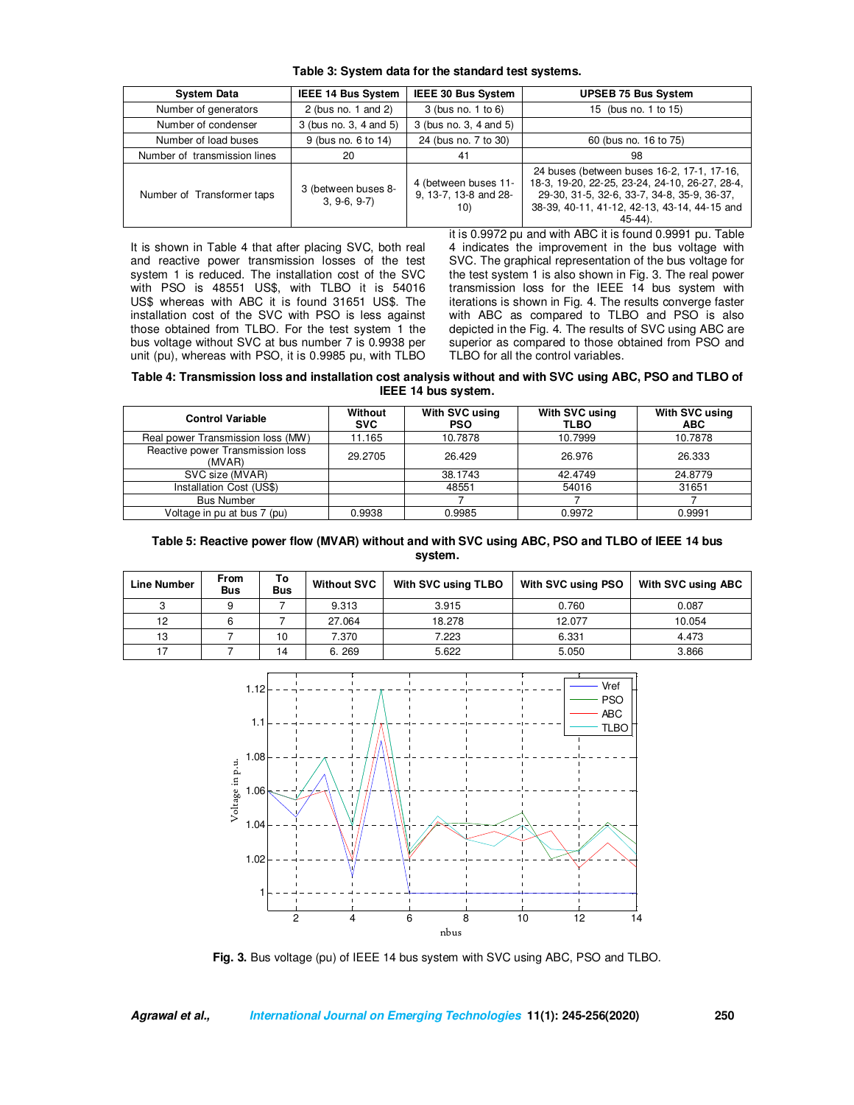| Table 3: System data for the standard test systems. |  |  |  |  |
|-----------------------------------------------------|--|--|--|--|
|-----------------------------------------------------|--|--|--|--|

| <b>System Data</b>           | <b>IEEE 14 Bus System</b>            | IEEE 30 Bus System                                   | <b>UPSEB 75 Bus System</b>                                                                                                                                                                                |
|------------------------------|--------------------------------------|------------------------------------------------------|-----------------------------------------------------------------------------------------------------------------------------------------------------------------------------------------------------------|
| Number of generators         | 2 (bus no. 1 and 2)                  | 3 (bus no. 1 to 6)                                   | 15 (bus no. 1 to 15)                                                                                                                                                                                      |
| Number of condenser          | 3 (bus no. 3, 4 and 5)               | 3 (bus no. 3, 4 and 5)                               |                                                                                                                                                                                                           |
| Number of load buses         | 9 (bus no. 6 to 14)                  | 24 (bus no. 7 to 30)                                 | 60 (bus no. 16 to 75)                                                                                                                                                                                     |
| Number of transmission lines | 20                                   | 41                                                   | 98                                                                                                                                                                                                        |
| Number of Transformer taps   | 3 (between buses 8-<br>$3, 9-6, 9-7$ | 4 (between buses 11-<br>9, 13-7, 13-8 and 28-<br>10) | 24 buses (between buses 16-2, 17-1, 17-16,<br>18-3, 19-20, 22-25, 23-24, 24-10, 26-27, 28-4,<br>29-30, 31-5, 32-6, 33-7, 34-8, 35-9, 36-37,<br>38-39, 40-11, 41-12, 42-13, 43-14, 44-15 and<br>$45-44$ ). |

It is shown in Table 4 that after placing SVC, both real and reactive power transmission losses of the test system 1 is reduced. The installation cost of the SVC with PSO is 48551 US\$, with TLBO it is 54016 US\$ whereas with ABC it is found 31651 US\$. The installation cost of the SVC with PSO is less against those obtained from TLBO. For the test system 1 the bus voltage without SVC at bus number 7 is 0.9938 per unit (pu), whereas with PSO, it is 0.9985 pu, with TLBO it is 0.9972 pu and with ABC it is found 0.9991 pu. Table 4 indicates the improvement in the bus voltage with SVC. The graphical representation of the bus voltage for the test system 1 is also shown in Fig. 3. The real power transmission loss for the IEEE 14 bus system with iterations is shown in Fig. 4. The results converge faster with ABC as compared to TLBO and PSO is also depicted in the Fig. 4. The results of SVC using ABC are superior as compared to those obtained from PSO and TLBO for all the control variables.

**Table 4: Transmission loss and installation cost analysis without and with SVC using ABC, PSO and TLBO of IEEE 14 bus system.** 

| <b>Control Variable</b>                    | Without<br><b>SVC</b> | With SVC using<br><b>PSO</b> | With SVC using<br><b>TLBO</b> | With SVC using<br><b>ABC</b> |
|--------------------------------------------|-----------------------|------------------------------|-------------------------------|------------------------------|
| Real power Transmission loss (MW)          | 11.165                | 10.7878                      | 10.7999                       | 10.7878                      |
| Reactive power Transmission loss<br>(MVAR) | 29.2705               | 26.429                       | 26.976                        | 26.333                       |
| SVC size (MVAR)                            |                       | 38.1743                      | 42.4749                       | 24.8779                      |
| Installation Cost (US\$)                   |                       | 48551                        | 54016                         | 31651                        |
| <b>Bus Number</b>                          |                       |                              |                               |                              |
| Voltage in pu at bus 7 (pu)                | 0.9938                | 0.9985                       | 0.9972                        | 0.9991                       |

### **Table 5: Reactive power flow (MVAR) without and with SVC using ABC, PSO and TLBO of IEEE 14 bus system.**

| <b>Line Number</b> | From<br><b>Bus</b> | To<br><b>Bus</b> | <b>Without SVC</b> | With SVC using TLBO | With SVC using PSO | With SVC using ABC |
|--------------------|--------------------|------------------|--------------------|---------------------|--------------------|--------------------|
|                    |                    |                  | 9.313              | 3.915<br>0.760      |                    | 0.087              |
| 12                 |                    |                  | 27.064             | 18.278<br>12.077    |                    | 10.054             |
| 13                 |                    | 10               | 7.370              | 7.223               | 6.331              |                    |
|                    |                    | 14               | 6.269              | 5.622<br>5.050      |                    | 3.866              |



**Fig. 3.** Bus voltage (pu) of IEEE 14 bus system with SVC using ABC, PSO and TLBO.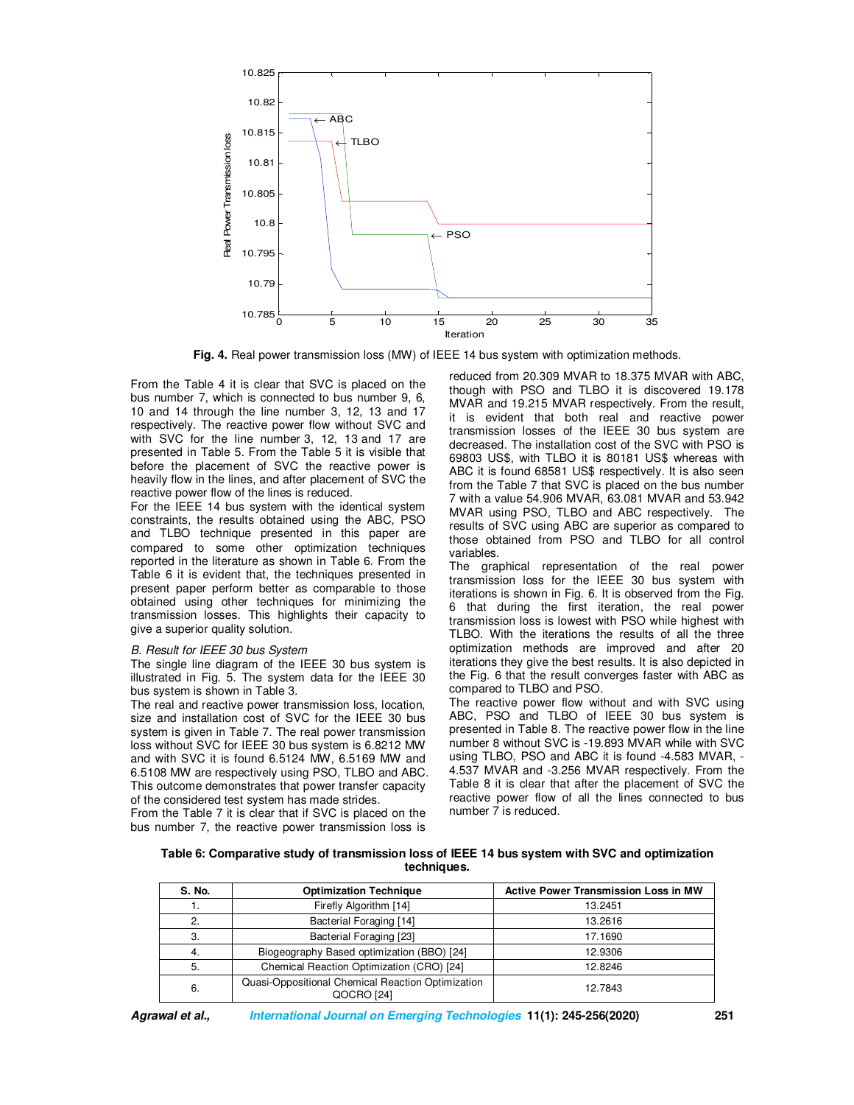

**Fig. 4.** Real power transmission loss (MW) of IEEE 14 bus system with optimization methods.

From the Table 4 it is clear that SVC is placed on the bus number 7, which is connected to bus number 9, 6, 10 and 14 through the line number 3, 12, 13 and 17 respectively. The reactive power flow without SVC and with SVC for the line number 3, 12, 13 and 17 are presented in Table 5. From the Table 5 it is visible that before the placement of SVC the reactive power is heavily flow in the lines, and after placement of SVC the reactive power flow of the lines is reduced.

For the IEEE 14 bus system with the identical system constraints, the results obtained using the ABC, PSO and TLBO technique presented in this paper are compared to some other optimization techniques reported in the literature as shown in Table 6. From the Table 6 it is evident that, the techniques presented in present paper perform better as comparable to those obtained using other techniques for minimizing the transmission losses. This highlights their capacity to give a superior quality solution.

#### *B. Result for IEEE 30 bus System*

The single line diagram of the IEEE 30 bus system is illustrated in Fig. 5. The system data for the IEEE 30 bus system is shown in Table 3.

The real and reactive power transmission loss, location, size and installation cost of SVC for the IEEE 30 bus system is given in Table 7. The real power transmission loss without SVC for IEEE 30 bus system is 6.8212 MW and with SVC it is found 6.5124 MW, 6.5169 MW and 6.5108 MW are respectively using PSO, TLBO and ABC. This outcome demonstrates that power transfer capacity of the considered test system has made strides.

From the Table 7 it is clear that if SVC is placed on the bus number 7, the reactive power transmission loss is

reduced from 20.309 MVAR to 18.375 MVAR with ABC, though with PSO and TLBO it is discovered 19.178 MVAR and 19.215 MVAR respectively. From the result, it is evident that both real and reactive power transmission losses of the IEEE 30 bus system are decreased. The installation cost of the SVC with PSO is 69803 US\$, with TLBO it is 80181 US\$ whereas with ABC it is found 68581 US\$ respectively. It is also seen from the Table 7 that SVC is placed on the bus number 7 with a value 54.906 MVAR, 63.081 MVAR and 53.942 MVAR using PSO, TLBO and ABC respectively. The results of SVC using ABC are superior as compared to those obtained from PSO and TLBO for all control variables.

The graphical representation of the real power transmission loss for the IEEE 30 bus system with iterations is shown in Fig. 6. It is observed from the Fig. 6 that during the first iteration, the real power transmission loss is lowest with PSO while highest with TLBO. With the iterations the results of all the three optimization methods are improved and after 20 iterations they give the best results. It is also depicted in the Fig. 6 that the result converges faster with ABC as compared to TLBO and PSO.

The reactive power flow without and with SVC using ABC, PSO and TLBO of IEEE 30 bus system is presented in Table 8. The reactive power flow in the line number 8 without SVC is -19.893 MVAR while with SVC using TLBO, PSO and ABC it is found -4.583 MVAR, - 4.537 MVAR and -3.256 MVAR respectively. From the Table 8 it is clear that after the placement of SVC the reactive power flow of all the lines connected to bus number 7 is reduced.

| Table 6: Comparative study of transmission loss of IEEE 14 bus system with SVC and optimization |  |
|-------------------------------------------------------------------------------------------------|--|
| techniques.                                                                                     |  |

| S. No.           | <b>Optimization Technique</b>                                   | <b>Active Power Transmission Loss in MW</b> |
|------------------|-----------------------------------------------------------------|---------------------------------------------|
|                  | Firefly Algorithm [14]                                          | 13.2451                                     |
| $\overline{2}$ . | Bacterial Foraging [14]                                         | 13.2616                                     |
| 3.               | Bacterial Foraging [23]                                         | 17.1690                                     |
| -4.              | Biogeography Based optimization (BBO) [24]                      | 12.9306                                     |
| 5.               | Chemical Reaction Optimization (CRO) [24]                       | 12.8246                                     |
| 6.               | Quasi-Oppositional Chemical Reaction Optimization<br>QOCRO [24] | 12.7843                                     |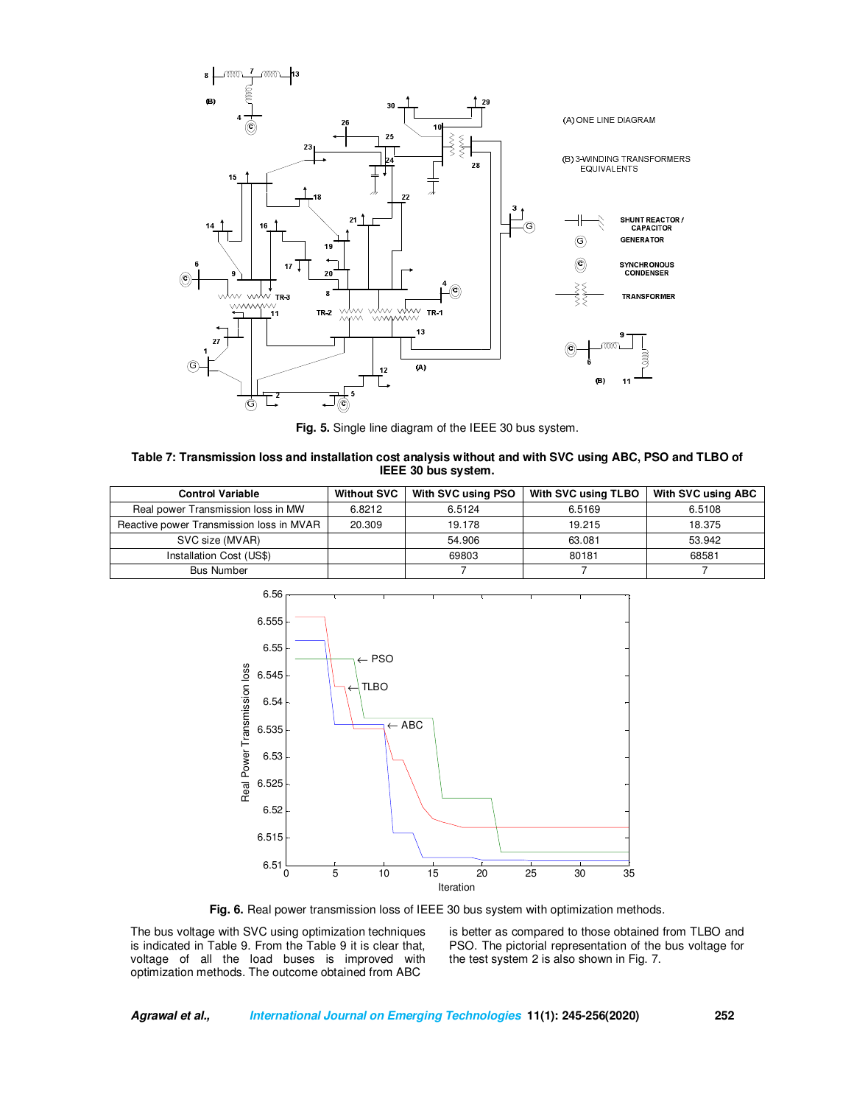

**Fig. 5.** Single line diagram of the IEEE 30 bus system.

| Table 7: Transmission loss and installation cost analysis without and with SVC using ABC, PSO and TLBO of |
|-----------------------------------------------------------------------------------------------------------|
| IEEE 30 bus system.                                                                                       |

| <b>Control Variable</b>                  | <b>Without SVC</b> | With SVC using PSO | With SVC using TLBO | <b>With SVC using ABC</b> |
|------------------------------------------|--------------------|--------------------|---------------------|---------------------------|
| Real power Transmission loss in MW       | 6.8212             | 6.5124             | 6.5169              | 6.5108                    |
| Reactive power Transmission loss in MVAR | 20.309             | 19.178             | 19.215              | 18.375                    |
| SVC size (MVAR)                          |                    | 54.906             | 63.081              | 53.942                    |
| Installation Cost (US\$)                 |                    | 69803              | 80181               | 68581                     |
| <b>Bus Number</b>                        |                    |                    |                     |                           |



**Fig. 6.** Real power transmission loss of IEEE 30 bus system with optimization methods.

The bus voltage with SVC using optimization techniques is indicated in Table 9. From the Table 9 it is clear that, voltage of all the load buses is improved with optimization methods. The outcome obtained from ABC

is better as compared to those obtained from TLBO and PSO. The pictorial representation of the bus voltage for the test system 2 is also shown in Fig. 7.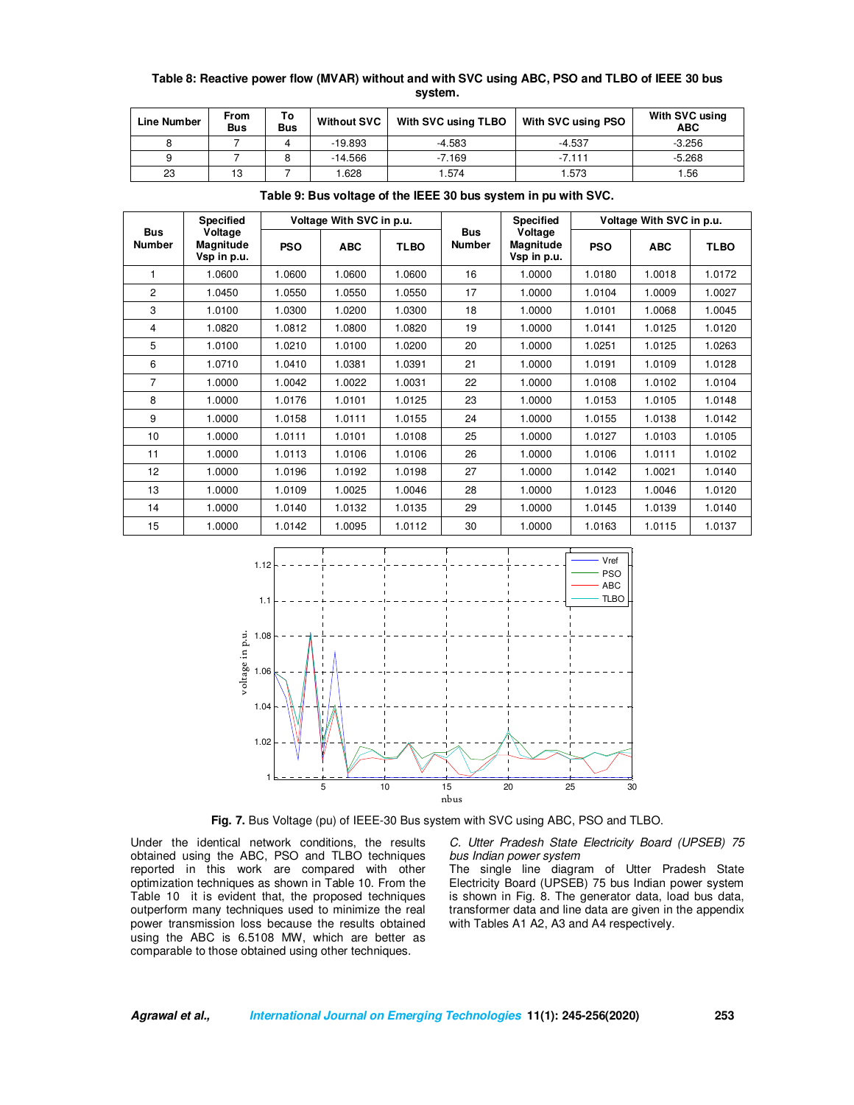# **Table 8: Reactive power flow (MVAR) without and with SVC using ABC, PSO and TLBO of IEEE 30 bus system.**

| <b>Line Number</b> | From<br><b>Bus</b> | Τo<br><b>Bus</b> | <b>Without SVC</b> | With SVC using TLBO | With SVC using PSO | With SVC using<br><b>ABC</b> |
|--------------------|--------------------|------------------|--------------------|---------------------|--------------------|------------------------------|
|                    |                    |                  | $-19.893$          | $-4.583$            | $-4.537$           | $-3.256$                     |
|                    |                    |                  | $-14.566$          | $-7.169$            | $-7.111$           | $-5.268$                     |
| 23                 | 13                 |                  | .628               | .574<br>1.573       |                    | 1.56                         |

| <b>Bus</b><br><b>Number</b> | <b>Specified</b>                    | Voltage With SVC in p.u. |            |             |                             | <b>Specified</b>                    | Voltage With SVC in p.u. |            |             |
|-----------------------------|-------------------------------------|--------------------------|------------|-------------|-----------------------------|-------------------------------------|--------------------------|------------|-------------|
|                             | Voltage<br>Magnitude<br>Vsp in p.u. | <b>PSO</b>               | <b>ABC</b> | <b>TLBO</b> | <b>Bus</b><br><b>Number</b> | Voltage<br>Magnitude<br>Vsp in p.u. | <b>PSO</b>               | <b>ABC</b> | <b>TLBO</b> |
| 1                           | 1.0600                              | 1.0600                   | 1.0600     | 1.0600      | 16                          | 1.0000                              | 1.0180                   | 1.0018     | 1.0172      |
| 2                           | 1.0450                              | 1.0550                   | 1.0550     | 1.0550      | 17                          | 1.0000                              | 1.0104                   | 1.0009     | 1.0027      |
| 3                           | 1.0100                              | 1.0300                   | 1.0200     | 1.0300      | 18                          | 1.0000                              | 1.0101                   | 1.0068     | 1.0045      |
| 4                           | 1.0820                              | 1.0812                   | 1.0800     | 1.0820      | 19                          | 1.0000                              | 1.0141                   | 1.0125     | 1.0120      |
| 5                           | 1.0100                              | 1.0210                   | 1.0100     | 1.0200      | 20                          | 1.0000                              | 1.0251                   | 1.0125     | 1.0263      |
| 6                           | 1.0710                              | 1.0410                   | 1.0381     | 1.0391      | 21                          | 1.0000                              | 1.0191                   | 1.0109     | 1.0128      |
| 7                           | 1.0000                              | 1.0042                   | 1.0022     | 1.0031      | 22                          | 1.0000                              | 1.0108                   | 1.0102     | 1.0104      |
| 8                           | 1.0000                              | 1.0176                   | 1.0101     | 1.0125      | 23                          | 1.0000                              | 1.0153                   | 1.0105     | 1.0148      |
| 9                           | 1.0000                              | 1.0158                   | 1.0111     | 1.0155      | 24                          | 1.0000                              | 1.0155                   | 1.0138     | 1.0142      |
| 10                          | 1.0000                              | 1.0111                   | 1.0101     | 1.0108      | 25                          | 1.0000                              | 1.0127                   | 1.0103     | 1.0105      |
| 11                          | 1.0000                              | 1.0113                   | 1.0106     | 1.0106      | 26                          | 1.0000                              | 1.0106                   | 1.0111     | 1.0102      |
| 12                          | 1.0000                              | 1.0196                   | 1.0192     | 1.0198      | 27                          | 1.0000                              | 1.0142                   | 1.0021     | 1.0140      |
| 13                          | 1.0000                              | 1.0109                   | 1.0025     | 1.0046      | 28                          | 1.0000                              | 1.0123                   | 1.0046     | 1.0120      |
| 14                          | 1.0000                              | 1.0140                   | 1.0132     | 1.0135      | 29                          | 1.0000                              | 1.0145                   | 1.0139     | 1.0140      |
| 15                          | 1.0000                              | 1.0142                   | 1.0095     | 1.0112      | 30                          | 1.0000                              | 1.0163                   | 1.0115     | 1.0137      |

**Table 9: Bus voltage of the IEEE 30 bus system in pu with SVC.** 



**Fig. 7.** Bus Voltage (pu) of IEEE-30 Bus system with SVC using ABC, PSO and TLBO.

Under the identical network conditions, the results obtained using the ABC, PSO and TLBO techniques reported in this work are compared with other optimization techniques as shown in Table 10. From the Table 10 it is evident that, the proposed techniques outperform many techniques used to minimize the real power transmission loss because the results obtained using the ABC is 6.5108 MW, which are better as comparable to those obtained using other techniques.

*C. Utter Pradesh State Electricity Board (UPSEB) 75 bus Indian power system* 

The single line diagram of Utter Pradesh State Electricity Board (UPSEB) 75 bus Indian power system is shown in Fig. 8. The generator data, load bus data, transformer data and line data are given in the appendix with Tables A1 A2, A3 and A4 respectively.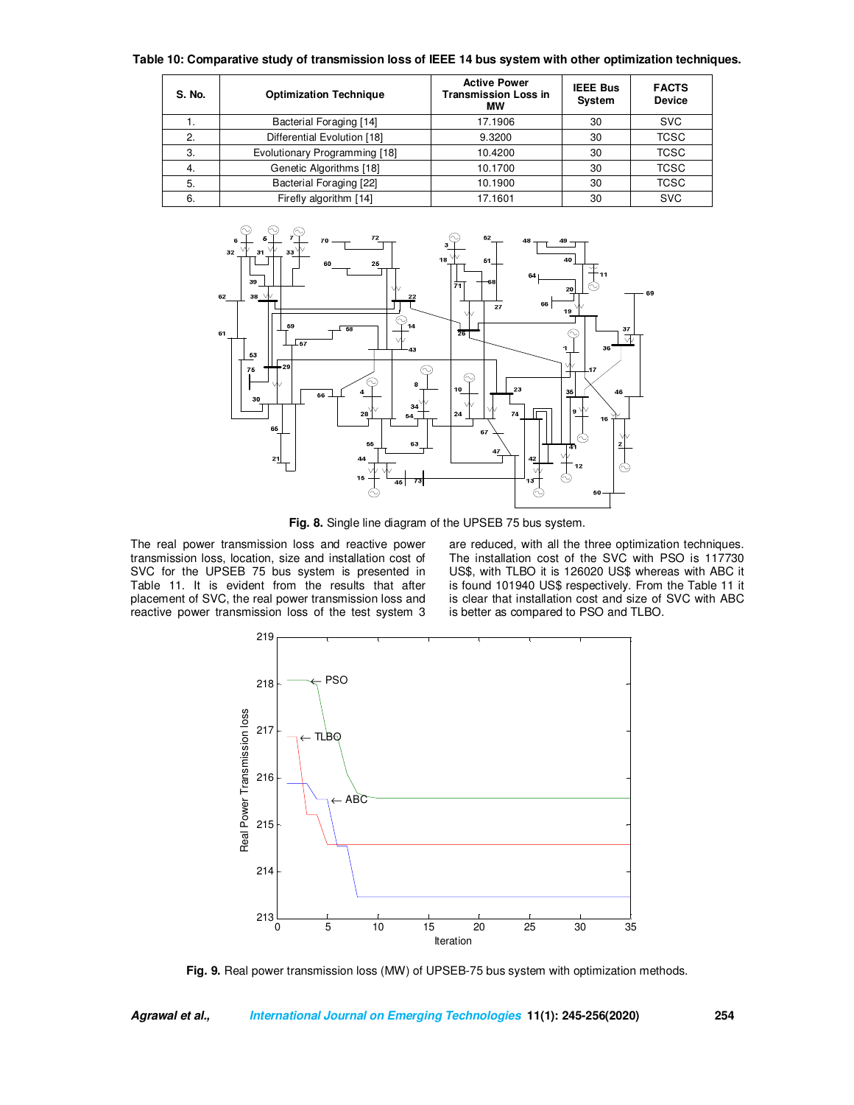|  | Table 10: Comparative study of transmission loss of IEEE 14 bus system with other optimization techniques. |  |  |
|--|------------------------------------------------------------------------------------------------------------|--|--|
|--|------------------------------------------------------------------------------------------------------------|--|--|

| S. No. | <b>Optimization Technique</b> | <b>Active Power</b><br><b>Transmission Loss in</b><br>МW | <b>IEEE Bus</b><br>System | <b>FACTS</b><br><b>Device</b> |
|--------|-------------------------------|----------------------------------------------------------|---------------------------|-------------------------------|
| ι.     | Bacterial Foraging [14]       | 17.1906                                                  | 30                        | <b>SVC</b>                    |
| 2.     | Differential Evolution [18]   | 9.3200                                                   | 30                        | <b>TCSC</b>                   |
| 3.     | Evolutionary Programming [18] | 10.4200                                                  | 30                        | <b>TCSC</b>                   |
| 4.     | Genetic Algorithms [18]       | 10.1700                                                  | 30                        | <b>TCSC</b>                   |
| 5.     | Bacterial Foraging [22]       | 10.1900                                                  | 30                        | <b>TCSC</b>                   |
| 6.     | Firefly algorithm [14]        | 17.1601                                                  | 30                        | <b>SVC</b>                    |



**Fig. 8.** Single line diagram of the UPSEB 75 bus system.

The real power transmission loss and reactive power transmission loss, location, size and installation cost of SVC for the UPSEB 75 bus system is presented in Table 11. It is evident from the results that after placement of SVC, the real power transmission loss and reactive power transmission loss of the test system 3 are reduced, with all the three optimization techniques. The installation cost of the SVC with PSO is 117730 US\$, with TLBO it is 126020 US\$ whereas with ABC it is found 101940 US\$ respectively. From the Table 11 it is clear that installation cost and size of SVC with ABC is better as compared to PSO and TLBO.



Fig. 9. Real power transmission loss (MW) of UPSEB-75 bus system with optimization methods.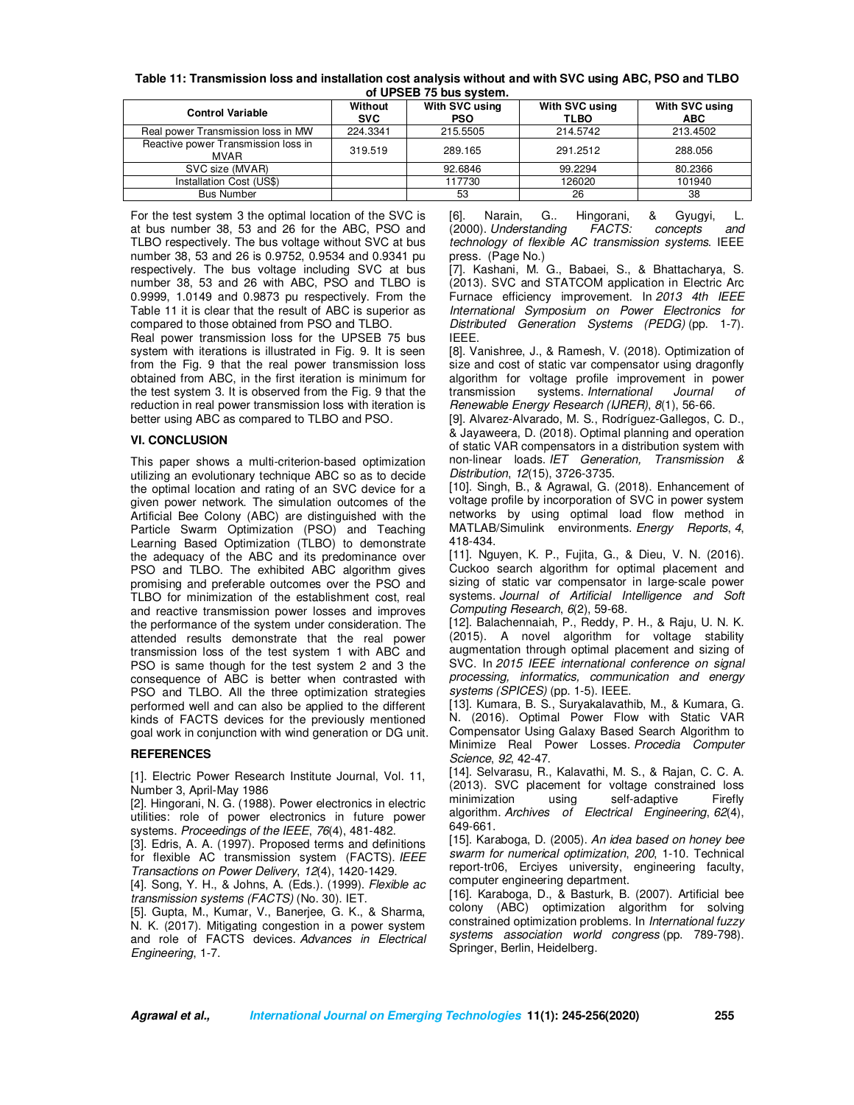| Table 11: Transmission loss and installation cost analysis without and with SVC using ABC, PSO and TLBO |
|---------------------------------------------------------------------------------------------------------|
| of UPSEB 75 bus system.                                                                                 |

| $\ddotsc$ . $\ddotsc$ . $\ddotsc$ is the state of $\ddotsc$ |                       |                              |                               |                              |  |  |  |  |
|-------------------------------------------------------------|-----------------------|------------------------------|-------------------------------|------------------------------|--|--|--|--|
| <b>Control Variable</b>                                     | Without<br><b>SVC</b> | With SVC using<br><b>PSO</b> | With SVC using<br><b>TLBO</b> | With SVC using<br><b>ABC</b> |  |  |  |  |
| Real power Transmission loss in MW                          | 224.3341              | 215.5505                     | 214.5742                      | 213.4502                     |  |  |  |  |
| Reactive power Transmission loss in<br><b>MVAR</b>          | 319.519               | 289.165                      | 291.2512                      | 288,056                      |  |  |  |  |
| SVC size (MVAR)                                             |                       | 92.6846                      | 99.2294                       | 80.2366                      |  |  |  |  |
| Installation Cost (US\$)                                    |                       | 117730                       | 126020                        | 101940                       |  |  |  |  |
| <b>Bus Number</b>                                           |                       | 53                           | 26                            | 38                           |  |  |  |  |

For the test system 3 the optimal location of the SVC is at bus number 38, 53 and 26 for the ABC, PSO and TLBO respectively. The bus voltage without SVC at bus number 38, 53 and 26 is 0.9752, 0.9534 and 0.9341 pu respectively. The bus voltage including SVC at bus number 38, 53 and 26 with ABC, PSO and TLBO is 0.9999, 1.0149 and 0.9873 pu respectively. From the Table 11 it is clear that the result of ABC is superior as compared to those obtained from PSO and TLBO.

Real power transmission loss for the UPSEB 75 bus system with iterations is illustrated in Fig. 9. It is seen from the Fig. 9 that the real power transmission loss obtained from ABC, in the first iteration is minimum for the test system 3. It is observed from the Fig. 9 that the reduction in real power transmission loss with iteration is better using ABC as compared to TLBO and PSO.

## **VI. CONCLUSION**

This paper shows a multi-criterion-based optimization utilizing an evolutionary technique ABC so as to decide the optimal location and rating of an SVC device for a given power network. The simulation outcomes of the Artificial Bee Colony (ABC) are distinguished with the Particle Swarm Optimization (PSO) and Teaching Learning Based Optimization (TLBO) to demonstrate the adequacy of the ABC and its predominance over PSO and TLBO. The exhibited ABC algorithm gives promising and preferable outcomes over the PSO and TLBO for minimization of the establishment cost, real and reactive transmission power losses and improves the performance of the system under consideration. The attended results demonstrate that the real power transmission loss of the test system 1 with ABC and PSO is same though for the test system 2 and 3 the consequence of ABC is better when contrasted with PSO and TLBO. All the three optimization strategies performed well and can also be applied to the different kinds of FACTS devices for the previously mentioned goal work in conjunction with wind generation or DG unit.

# **REFERENCES**

[1]. Electric Power Research Institute Journal, Vol. 11, Number 3, April-May 1986

[2]. Hingorani, N. G. (1988). Power electronics in electric utilities: role of power electronics in future power systems. *Proceedings of the IEEE*, *76*(4), 481-482.

[3]. Edris, A. A. (1997). Proposed terms and definitions for flexible AC transmission system (FACTS). *IEEE Transactions on Power Delivery*, *12*(4), 1420-1429.

[4]. Song, Y. H., & Johns, A. (Eds.). (1999). *Flexible ac transmission systems (FACTS)* (No. 30). IET.

[5]. Gupta, M., Kumar, V., Banerjee, G. K., & Sharma, N. K. (2017). Mitigating congestion in a power system and role of FACTS devices. *Advances in Electrical Engineering*, 1-7.

[6]. Narain, G.. Hingorani, & Gyugyi, L.<br>(2000). Understanding FACTS: concepts and (2000). *Understanding FACTS: concepts and technology of flexible AC transmission systems*. IEEE press. (Page No.)

[7]. Kashani, M. G., Babaei, S., & Bhattacharya, S. (2013). SVC and STATCOM application in Electric Arc Furnace efficiency improvement. In *2013 4th IEEE International Symposium on Power Electronics for Distributed Generation Systems (PEDG)* (pp. 1-7). IEEE.

[8]. Vanishree, J., & Ramesh, V. (2018). Optimization of size and cost of static var compensator using dragonfly algorithm for voltage profile improvement in power transmission systems. *International Journal of Renewable Energy Research (IJRER)*, *8*(1), 56-66.

[9]. Alvarez-Alvarado, M. S., Rodríguez-Gallegos, C. D., & Jayaweera, D. (2018). Optimal planning and operation of static VAR compensators in a distribution system with non-linear loads. *IET Generation, Transmission & Distribution*, *12*(15), 3726-3735.

[10]. Singh, B., & Agrawal, G. (2018). Enhancement of voltage profile by incorporation of SVC in power system networks by using optimal load flow method in MATLAB/Simulink environments. *Energy Reports*, *4*, 418-434.

[11]. Nguyen, K. P., Fujita, G., & Dieu, V. N. (2016). Cuckoo search algorithm for optimal placement and sizing of static var compensator in large-scale power systems. *Journal of Artificial Intelligence and Soft Computing Research*, *6*(2), 59-68.

[12]. Balachennaiah, P., Reddy, P. H., & Raju, U. N. K. (2015). A novel algorithm for voltage stability augmentation through optimal placement and sizing of SVC. In *2015 IEEE international conference on signal processing, informatics, communication and energy systems (SPICES)* (pp. 1-5). IEEE.

[13]. Kumara, B. S., Suryakalavathib, M., & Kumara, G. N. (2016). Optimal Power Flow with Static VAR Compensator Using Galaxy Based Search Algorithm to Minimize Real Power Losses. *Procedia Computer Science*, *92*, 42-47.

[14]. Selvarasu, R., Kalavathi, M. S., & Rajan, C. C. A. (2013). SVC placement for voltage constrained loss minimization using self-adaptive Firefly algorithm. *Archives of Electrical Engineering*, *62*(4), 649-661.

[15]. Karaboga, D. (2005). *An idea based on honey bee swarm for numerical optimization*, *200*, 1-10. Technical report-tr06, Erciyes university, engineering faculty, computer engineering department.

[16]. Karaboga, D., & Basturk, B. (2007). Artificial bee colony (ABC) optimization algorithm for solving constrained optimization problems. In *International fuzzy systems association world congress* (pp. 789-798). Springer, Berlin, Heidelberg.